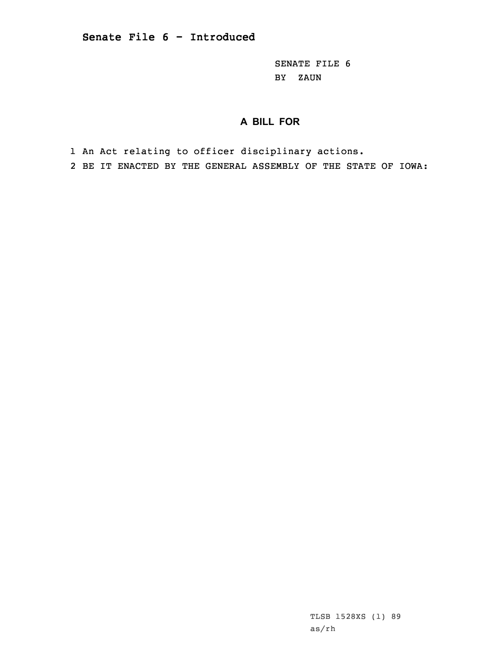SENATE FILE 6 BY ZAUN

## **A BILL FOR**

1 An Act relating to officer disciplinary actions.

2 BE IT ENACTED BY THE GENERAL ASSEMBLY OF THE STATE OF IOWA:

TLSB 1528XS (1) 89 as/rh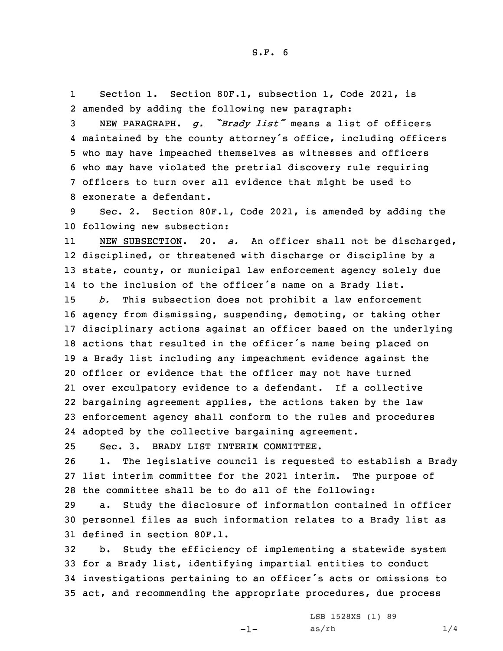1 Section 1. Section 80F.1, subsection 1, Code 2021, is 2 amended by adding the following new paragraph:

 NEW PARAGRAPH. *g. "Brady list"* means <sup>a</sup> list of officers maintained by the county attorney's office, including officers who may have impeached themselves as witnesses and officers who may have violated the pretrial discovery rule requiring officers to turn over all evidence that might be used to exonerate a defendant.

9 Sec. 2. Section 80F.1, Code 2021, is amended by adding the 10 following new subsection:

11 NEW SUBSECTION. 20. *a.* An officer shall not be discharged, 12 disciplined, or threatened with discharge or discipline by <sup>a</sup> 13 state, county, or municipal law enforcement agency solely due 14 to the inclusion of the officer's name on <sup>a</sup> Brady list.

 *b.* This subsection does not prohibit <sup>a</sup> law enforcement agency from dismissing, suspending, demoting, or taking other disciplinary actions against an officer based on the underlying actions that resulted in the officer's name being placed on <sup>a</sup> Brady list including any impeachment evidence against the officer or evidence that the officer may not have turned over exculpatory evidence to <sup>a</sup> defendant. If <sup>a</sup> collective bargaining agreement applies, the actions taken by the law enforcement agency shall conform to the rules and procedures adopted by the collective bargaining agreement.

25 Sec. 3. BRADY LIST INTERIM COMMITTEE.

26 1. The legislative council is requested to establish <sup>a</sup> Brady 27 list interim committee for the 2021 interim. The purpose of 28 the committee shall be to do all of the following:

29 a. Study the disclosure of information contained in officer 30 personnel files as such information relates to <sup>a</sup> Brady list as 31 defined in section 80F.1.

 b. Study the efficiency of implementing <sup>a</sup> statewide system for <sup>a</sup> Brady list, identifying impartial entities to conduct investigations pertaining to an officer's acts or omissions to act, and recommending the appropriate procedures, due process

-1-

LSB 1528XS (1) 89  $as/rh$   $1/4$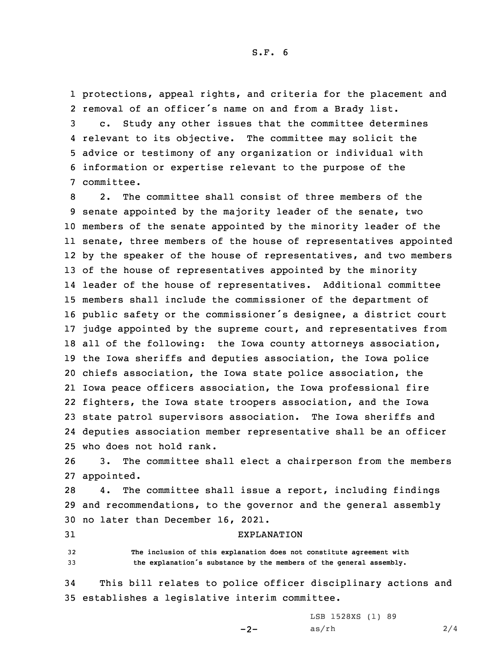1 protections, appeal rights, and criteria for the placement and 2 removal of an officer's name on and from <sup>a</sup> Brady list.

 c. Study any other issues that the committee determines relevant to its objective. The committee may solicit the advice or testimony of any organization or individual with information or expertise relevant to the purpose of the committee.

 2. The committee shall consist of three members of the senate appointed by the majority leader of the senate, two members of the senate appointed by the minority leader of the senate, three members of the house of representatives appointed by the speaker of the house of representatives, and two members of the house of representatives appointed by the minority leader of the house of representatives. Additional committee members shall include the commissioner of the department of public safety or the commissioner's designee, <sup>a</sup> district court judge appointed by the supreme court, and representatives from all of the following: the Iowa county attorneys association, the Iowa sheriffs and deputies association, the Iowa police chiefs association, the Iowa state police association, the Iowa peace officers association, the Iowa professional fire fighters, the Iowa state troopers association, and the Iowa state patrol supervisors association. The Iowa sheriffs and deputies association member representative shall be an officer who does not hold rank.

26 3. The committee shall elect <sup>a</sup> chairperson from the members 27 appointed.

28 4. The committee shall issue <sup>a</sup> report, including findings 29 and recommendations, to the governor and the general assembly 30 no later than December 16, 2021.

## 31 EXPLANATION

32 **The inclusion of this explanation does not constitute agreement with** <sup>33</sup> **the explanation's substance by the members of the general assembly.**

34 This bill relates to police officer disciplinary actions and 35 establishes <sup>a</sup> legislative interim committee.

 $-2-$ 

LSB 1528XS (1) 89  $as/rh$  2/4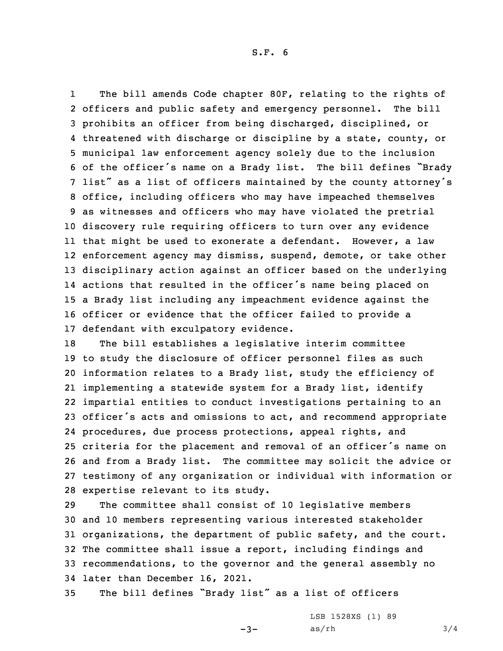1 The bill amends Code chapter 80F, relating to the rights of officers and public safety and emergency personnel. The bill prohibits an officer from being discharged, disciplined, or threatened with discharge or discipline by <sup>a</sup> state, county, or municipal law enforcement agency solely due to the inclusion of the officer's name on <sup>a</sup> Brady list. The bill defines "Brady list" as <sup>a</sup> list of officers maintained by the county attorney's office, including officers who may have impeached themselves as witnesses and officers who may have violated the pretrial discovery rule requiring officers to turn over any evidence that might be used to exonerate <sup>a</sup> defendant. However, <sup>a</sup> law enforcement agency may dismiss, suspend, demote, or take other disciplinary action against an officer based on the underlying actions that resulted in the officer's name being placed on <sup>a</sup> Brady list including any impeachment evidence against the officer or evidence that the officer failed to provide <sup>a</sup> defendant with exculpatory evidence.

 The bill establishes <sup>a</sup> legislative interim committee to study the disclosure of officer personnel files as such information relates to <sup>a</sup> Brady list, study the efficiency of implementing <sup>a</sup> statewide system for <sup>a</sup> Brady list, identify impartial entities to conduct investigations pertaining to an officer's acts and omissions to act, and recommend appropriate procedures, due process protections, appeal rights, and criteria for the placement and removal of an officer's name on and from <sup>a</sup> Brady list. The committee may solicit the advice or testimony of any organization or individual with information or expertise relevant to its study.

 The committee shall consist of 10 legislative members and 10 members representing various interested stakeholder organizations, the department of public safety, and the court. The committee shall issue <sup>a</sup> report, including findings and recommendations, to the governor and the general assembly no later than December 16, 2021.

<sup>35</sup> The bill defines "Brady list" as <sup>a</sup> list of officers

 $-3-$ 

LSB 1528XS (1) 89  $as/rh$   $3/4$